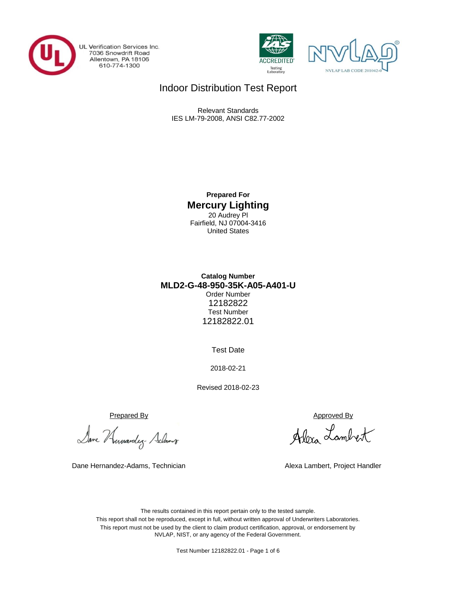

UL Verification Services Inc. 7036 Snowdrift Road<br>Allentown, PA 18106<br>610-774-1300





## Indoor Distribution Test Report

Relevant Standards IES LM-79-2008, ANSI C82.77-2002

> **Prepared For Mercury Lighting** 20 Audrey Pl Fairfield, NJ 07004-3416 United States

## **MLD2-G-48-950-35K-A05-A401-U Catalog Number** Order Number 12182822 Test Number 12182822.01

Test Date

2018-02-21

Revised 2018-02-23

Prepared By Approved By

Dane Humandez- Adams

Dane Hernandez-Adams, Technician Alexa Lambert, Project Handler

Alexa Lambert

The results contained in this report pertain only to the tested sample. This report shall not be reproduced, except in full, without written approval of Underwriters Laboratories. This report must not be used by the client to claim product certification, approval, or endorsement by NVLAP, NIST, or any agency of the Federal Government.

Test Number 12182822.01 - Page 1 of 6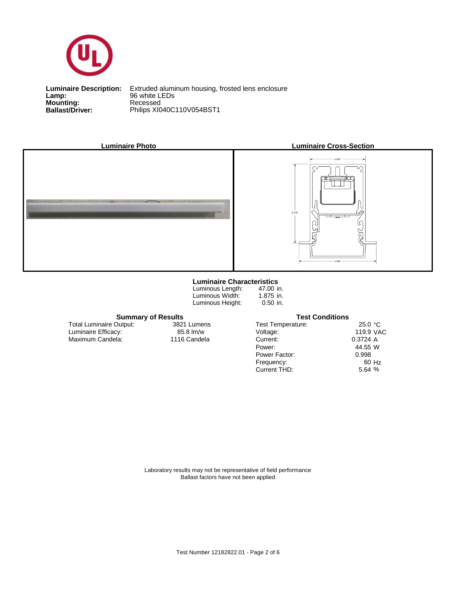

**Lamp:**<br>Mounting:<br>Ballast/Driver: **Lamp:** 96 white LEDs

**Ballast/Driver:** Philips XI040C110V054BST1 **Luminaire Description:** Extruded aluminum housing, frosted lens enclosure



#### **Luminaire Characteristics**

Luminous Length: Luminous Width: Luminous Height:

47.00 in. 1.875 in. 0.50 in.

#### **Summary of Results Test Conditions**

Maximum Candela: 1116 Candela Luminaire Efficacy: Total Luminaire Output:

3821 Lumens

| <b>Test Temperature:</b> | 25.0 °C   |       |
|--------------------------|-----------|-------|
| Voltage:                 | 119.9 VAC |       |
| Current:                 | 0.3724A   |       |
| Power:                   | 44.55 W   |       |
| Power Factor:            | 0.998     |       |
| Frequency:               |           | 60 Hz |
| Current THD:             | 5.64%     |       |
|                          |           |       |

Laboratory results may not be representative of field performance Ballast factors have not been applied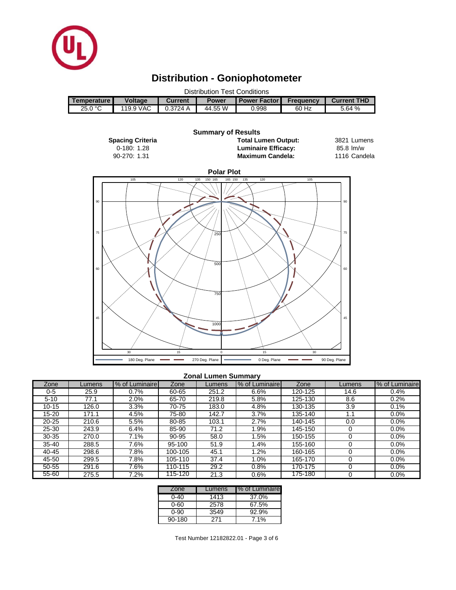

# **Distribution - Goniophotometer**

| Distribution Test Conditions |                |                |              |                       |                  |                    |  |  |  |
|------------------------------|----------------|----------------|--------------|-----------------------|------------------|--------------------|--|--|--|
| <b>Temperature I</b>         | <b>Voltage</b> | <b>Current</b> | <b>Power</b> | <b>Power Factor I</b> | <b>Frequency</b> | <b>Current THD</b> |  |  |  |
| 25.0 °C                      | 119.9 VAC      | 0.3724 A       | 44.55 W      | 0.998                 | 60 Hz            | 5.64%              |  |  |  |
|                              |                |                |              |                       |                  |                    |  |  |  |



#### **Zonal Lumen Summary**

| Zone      | _umens | % of Luminaire | Zone    | Lumens | % of Luminaire | Zone    | Lumens | % of Luminaire |
|-----------|--------|----------------|---------|--------|----------------|---------|--------|----------------|
| 0-5       | 25.9   | 0.7%           | 60-65   | 251.2  | 6.6%           | 120-125 | 14.6   | 0.4%           |
| $5 - 10$  | 77.1   | $2.0\%$        | 65-70   | 219.8  | 5.8%           | 125-130 | 8.6    | 0.2%           |
| $10 - 15$ | 126.0  | 3.3%           | 70-75   | 183.0  | 4.8%           | 130-135 | 3.9    | 0.1%           |
| 15-20     | 171.1  | 4.5%           | 75-80   | 142.7  | 3.7%           | 135-140 |        | 0.0%           |
| $20 - 25$ | 210.6  | 5.5%           | 80-85   | 103.1  | 2.7%           | 140-145 | 0.0    | 0.0%           |
| $25 - 30$ | 243.9  | 6.4%           | 85-90   | 71.2   | .9%            | 145-150 |        | $0.0\%$        |
| $30 - 35$ | 270.0  | 7.1%           | 90-95   | 58.0   | .5%            | 150-155 |        | 0.0%           |
| $35 - 40$ | 288.5  | 7.6%           | 95-100  | 51.9   | .4%            | 155-160 |        | $0.0\%$        |
| 40-45     | 298.6  | 7.8%           | 100-105 | 45.1   | .2%            | 160-165 |        | 0.0%           |
| 45-50     | 299.5  | 7.8%           | 105-110 | 37.4   | $0\%$          | 165-170 |        | $0.0\%$        |
| 50-55     | 291.6  | 7.6%           | 110-115 | 29.2   | 0.8%           | 170-175 |        | 0.0%           |
| $55 - 60$ | 275.5  | 7.2%           | 115-120 | 21.3   | 0.6%           | 175-180 |        | 0.0%           |

| Zone   | Lumens | % of Luminaire |
|--------|--------|----------------|
| ი-4ი   | 1413   | 37.0%          |
| 0-60   | 2578   | 67.5%          |
| ი-90   | 3549   | 92.9%          |
| 90-180 | 271    | 7.1%           |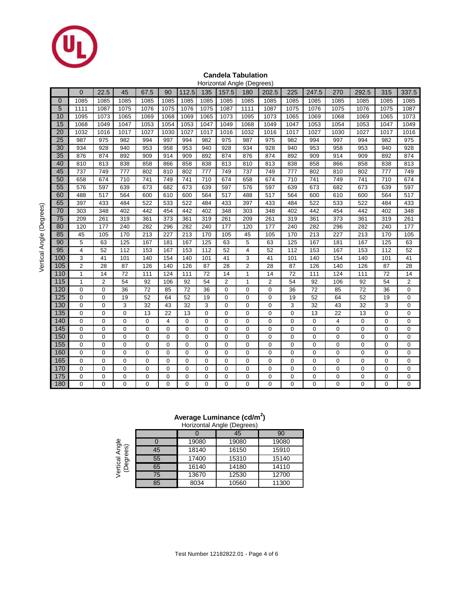

## **Candela Tabulation**

|                 | Horizontal Angle (Degrees) |                |      |                  |             |                |             |                  |              |                |             |                |                |             |             |                  |
|-----------------|----------------------------|----------------|------|------------------|-------------|----------------|-------------|------------------|--------------|----------------|-------------|----------------|----------------|-------------|-------------|------------------|
|                 | $\overline{0}$             | 22.5           | 45   | 67.5             | 90          | 112.5          | 135         | 157.5            | 180          | 202.5          | 225         | 247.5          | 270            | 292.5       | 315         | 337.5            |
| $\mathbf 0$     | 1085                       | 1085           | 1085 | 1085             | 1085        | 1085           | 1085        | 1085             | 1085         | 1085           | 1085        | 1085           | 1085           | 1085        | 1085        | 1085             |
| 5               | 1111                       | 1087           | 1075 | 1076             | 1075        | 1076           | 1075        | 1087             | 1111         | 1087           | 1075        | 1076           | 1075           | 1076        | 1075        | 1087             |
| 10              | 1095                       | 1073           | 1065 | 1069             | 1068        | 1069           | 1065        | 1073             | 1095         | 1073           | 1065        | 1069           | 1068           | 1069        | 1065        | 1073             |
| 15              | 1068                       | 1049           | 1047 | 1053             | 1054        | 1053           | 1047        | 1049             | 1068         | 1049           | 1047        | 1053           | 1054           | 1053        | 1047        | 1049             |
| 20              | 1032                       | 1016           | 1017 | 1027             | 1030        | 1027           | 1017        | 1016             | 1032         | 1016           | 1017        | 1027           | 1030           | 1027        | 1017        | 1016             |
| 25              | 987                        | 975            | 982  | 994              | 997         | 994            | 982         | 975              | 987          | 975            | 982         | 994            | 997            | 994         | 982         | 975              |
| 30              | 934                        | 928            | 940  | 953              | 958         | 953            | 940         | 928              | 934          | 928            | 940         | 953            | 958            | 953         | 940         | 928              |
| 35              | 876                        | 874            | 892  | 909              | 914         | 909            | 892         | 874              | 876          | 874            | 892         | 909            | 914            | 909         | 892         | 874              |
| 40              | 810                        | 813            | 838  | 858              | 866         | 858            | 838         | 813              | 810          | 813            | 838         | 858            | 866            | 858         | 838         | 813              |
| 45              | 737                        | 749            | 777  | 802              | 810         | 802            | 777         | 749              | 737          | 749            | 777         | 802            | 810            | 802         | 777         | 749              |
| 50              | 658                        | 674            | 710  | 741              | 749         | 741            | 710         | 674              | 658          | 674            | 710         | 741            | 749            | 741         | 710         | 674              |
| 55              | 576                        | 597            | 639  | 673              | 682         | 673            | 639         | 597              | 576          | 597            | 639         | 673            | 682            | 673         | 639         | 597              |
| 60              | 488                        | 517            | 564  | 600              | 610         | 600            | 564         | 517              | 488          | 517            | 564         | 600            | 610            | 600         | 564         | 517              |
| 65              | 397                        | 433            | 484  | 522              | 533         | 522            | 484         | 433              | 397          | 433            | 484         | 522            | 533            | 522         | 484         | 433              |
| 70              | 303                        | 348            | 402  | 442              | 454         | 442            | 402         | 348              | 303          | 348            | 402         | 442            | 454            | 442         | 402         | 348              |
| $\overline{75}$ | 209                        | 261            | 319  | 361              | 373         | 361            | 319         | 261              | 209          | 261            | 319         | 361            | 373            | 361         | 319         | 261              |
| 80              | 120                        | 177            | 240  | 282              | 296         | 282            | 240         | 177              | 120          | 177            | 240         | 282            | 296            | 282         | 240         | 177              |
| 85              | 45                         | 105            | 170  | 213              | 227         | 213            | 170         | 105              | 45           | 105            | 170         | 213            | 227            | 213         | 170         | 105              |
| 90              | 5                          | 63             | 125  | 167              | 181         | 167            | 125         | 63               | 5            | 63             | 125         | 167            | 181            | 167         | 125         | 63               |
| 95              | 4                          | 52             | 112  | 153              | 167         | 153            | 112         | 52               | 4            | 52             | 112         | 153            | 167            | 153         | 112         | 52               |
| 100             | 3                          | 41             | 101  | 140              | 154         | 140            | 101         | 41               | 3            | 41             | 101         | 140            | 154            | 140         | 101         | 41               |
| 105             | $\overline{\mathbf{c}}$    | 28             | 87   | 126              | 140         | 126            | 87          | 28               | 2            | 28             | 87          | 126            | 140            | 126         | 87          | 28               |
| 110             | $\mathbf{1}$               | 14             | 72   | 111              | 124         | 111            | 72          | 14               | $\mathbf{1}$ | 14             | 72          | 111            | 124            | 111         | 72          | 14               |
| 115             | $\overline{1}$             | $\overline{2}$ | 54   | 92               | 106         | 92             | 54          | $\overline{c}$   | $\mathbf{1}$ | $\overline{c}$ | 54          | 92             | 106            | 92          | 54          | $\overline{c}$   |
| 120             | 0                          | $\mathbf 0$    | 36   | 72               | 85          | 72             | 36          | 0                | 0            | $\mathbf 0$    | 36          | 72             | 85             | 72          | 36          | $\boldsymbol{0}$ |
| 125             | $\mathbf 0$                | $\mathbf 0$    | 19   | 52               | 64          | 52             | 19          | $\boldsymbol{0}$ | 0            | $\mathbf 0$    | 19          | 52             | 64             | 52          | 19          | $\mathbf 0$      |
| 130             | 0                          | $\mathbf 0$    | 3    | 32               | 43          | 32             | 3           | $\boldsymbol{0}$ | 0            | $\mathbf 0$    | 3           | 32             | 43             | 32          | 3           | $\mathbf 0$      |
| 135             | 0                          | $\mathbf 0$    | 0    | 13               | 22          | 13             | 0           | $\boldsymbol{0}$ | 0            | $\mathbf 0$    | 0           | 13             | 22             | 13          | 0           | $\pmb{0}$        |
| 140             | $\mathbf 0$                | $\mathbf 0$    | 0    | $\pmb{0}$        | 4           | $\mathbf 0$    | $\mathbf 0$ | $\overline{0}$   | 0            | $\mathbf 0$    | 0           | $\mathbf 0$    | 4              | $\mathbf 0$ | 0           | $\mathbf 0$      |
| 145             | $\mathbf 0$                | $\mathbf 0$    | 0    | 0                | 0           | $\mathbf 0$    | 0           | $\mathbf 0$      | 0            | $\mathbf 0$    | $\mathbf 0$ | $\mathbf 0$    | 0              | $\mathbf 0$ | 0           | 0                |
| 150             | $\mathbf 0$                | $\mathbf 0$    | 0    | $\mathbf 0$      | $\mathbf 0$ | $\mathbf 0$    | $\mathbf 0$ | $\mathbf 0$      | 0            | $\mathbf 0$    | $\mathbf 0$ | $\mathbf 0$    | $\mathbf 0$    | $\mathbf 0$ | $\mathbf 0$ | $\mathbf 0$      |
| 155             | 0                          | $\mathbf 0$    | 0    | $\mathbf 0$      | $\mathbf 0$ | $\mathbf 0$    | 0           | $\mathbf 0$      | 0            | $\mathbf 0$    | $\mathbf 0$ | 0              | 0              | 0           | 0           | $\boldsymbol{0}$ |
| 160             | $\mathbf 0$                | $\mathbf 0$    | 0    | $\mathbf 0$      | $\mathbf 0$ | $\overline{0}$ | 0           | $\mathbf 0$      | 0            | $\mathbf 0$    | $\mathbf 0$ | $\overline{0}$ | $\overline{0}$ | $\mathbf 0$ | 0           | $\mathbf 0$      |
| 165             | $\mathbf 0$                | $\mathbf 0$    | 0    | $\boldsymbol{0}$ | $\mathbf 0$ | $\mathbf 0$    | $\mathbf 0$ | $\overline{0}$   | 0            | $\mathbf 0$    | $\mathbf 0$ | $\overline{0}$ | 0              | $\mathbf 0$ | $\mathbf 0$ | $\boldsymbol{0}$ |
| 170             | $\mathbf 0$                | $\mathbf 0$    | 0    | $\boldsymbol{0}$ | $\mathbf 0$ | $\mathbf 0$    | $\mathbf 0$ | $\mathbf 0$      | 0            | $\mathbf 0$    | $\mathbf 0$ | $\mathbf 0$    | $\mathbf 0$    | $\mathbf 0$ | 0           | $\mathbf 0$      |
| 175             | $\mathbf 0$                | $\mathbf 0$    | 0    | $\mathbf 0$      | $\mathbf 0$ | $\mathbf 0$    | 0           | $\boldsymbol{0}$ | 0            | $\mathbf 0$    | 0           | 0              | $\mathbf 0$    | $\pmb{0}$   | 0           | $\mathbf 0$      |
| 180             | 0                          | 0              | 0    | $\mathbf 0$      | 0           | 0              | 0           | $\mathbf 0$      | 0            | $\mathbf 0$    | 0           | $\overline{0}$ | $\mathbf 0$    | 0           | 0           | 0                |

#### **Average Luminance (cd/m<sup>2</sup> )**

|                          |    |       | Horizontal Angle (Degrees) |       |
|--------------------------|----|-------|----------------------------|-------|
|                          |    |       | 45                         | 90    |
|                          |    | 19080 | 19080                      | 19080 |
| Angle<br>ses)<br>Ë       | 45 | 18140 | 16150                      | 15910 |
| Vertical<br>(Degre<br>Ğ9 | 55 | 17400 | 15310                      | 15140 |
|                          | 65 | 16140 | 14180                      | 14110 |
|                          | 75 | 13670 | 12530                      | 12700 |
|                          | 85 | 8034  | 10560                      | 11300 |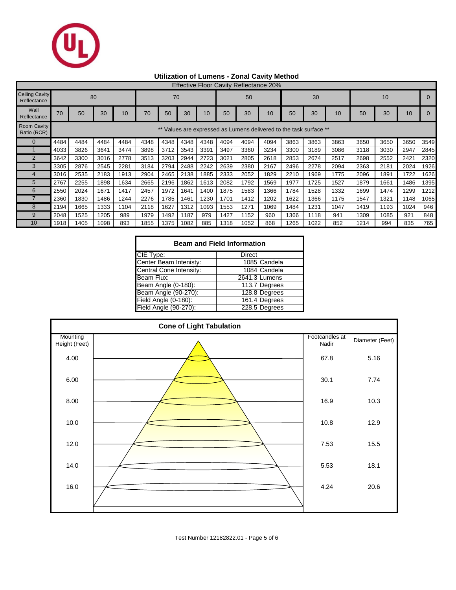

## **Utilization of Lumens - Zonal Cavity Method**

|                                      | <b>Effective Floor Cavity Reflectance 20%</b> |      |      |      |      |      |      |      |      |                                                                 |      |      |      |      |      |      |      |      |
|--------------------------------------|-----------------------------------------------|------|------|------|------|------|------|------|------|-----------------------------------------------------------------|------|------|------|------|------|------|------|------|
| <b>Ceiling Cavity</b><br>Reflectance | 80                                            |      |      |      | 70   |      |      |      | 50   |                                                                 |      | 30   |      |      | 10   |      |      |      |
| Wall<br>Reflectance                  | 70                                            | 50   | 30   | 10   | 70   | 50   | 30   | 10   | 50   | 30                                                              | 10   | 50   | 30   | 10   | 50   | 30   | 10   |      |
| <b>Room Cavity</b><br>Ratio (RCR)    |                                               |      |      |      |      |      |      |      |      | Values are expressed as Lumens delivered to the task surface ** |      |      |      |      |      |      |      |      |
| $\Omega$                             | 4484                                          | 4484 | 4484 | 4484 | 4348 | 4348 | 4348 | 4348 | 4094 | 4094                                                            | 4094 | 3863 | 3863 | 3863 | 3650 | 3650 | 3650 | 3549 |
|                                      | 4033                                          | 3826 | 3641 | 3474 | 3898 | 3712 | 3543 | 3391 | 3497 | 3360                                                            | 3234 | 3300 | 3189 | 3086 | 3118 | 3030 | 2947 | 2845 |
| $\overline{2}$                       | 3642                                          | 3300 | 3016 | 2778 | 3513 | 3203 | 2944 | 2723 | 3021 | 2805                                                            | 2618 | 2853 | 2674 | 2517 | 2698 | 2552 | 2421 | 2320 |
| 3                                    | 3305                                          | 2876 | 2545 | 2281 | 3184 | 2794 | 2488 | 2242 | 2639 | 2380                                                            | 2167 | 2496 | 2278 | 2094 | 2363 | 2181 | 2024 | 1926 |
|                                      | 3016                                          | 2535 | 2183 | 1913 | 2904 | 2465 | 2138 | 1885 | 2333 | 2052                                                            | 1829 | 2210 | 1969 | 1775 | 2096 | 1891 | 1722 | 1626 |
| 5                                    | 2767                                          | 2255 | 1898 | 1634 | 2665 | 2196 | 1862 | 1613 | 2082 | 1792                                                            | 1569 | 1977 | 1725 | 1527 | 1879 | 1661 | 1486 | 1395 |
| 6                                    | 2550                                          | 2024 | 1671 | 1417 | 2457 | 1972 | 1641 | 1400 | 1875 | 1583                                                            | 1366 | 1784 | 1528 | 1332 | 1699 | 1474 | 1299 | 1212 |
|                                      | 2360                                          | 1830 | 1486 | 1244 | 2276 | 1785 | 1461 | 1230 | 1701 | 1412                                                            | 1202 | 1622 | 1366 | 1175 | 1547 | 1321 | 1148 | 1065 |
| 8                                    | 2194                                          | 1665 | 1333 | 1104 | 2118 | 1627 | 1312 | 1093 | 1553 | 1271                                                            | 1069 | 1484 | 1231 | 1047 | 1419 | 1193 | 1024 | 946  |
| 9                                    | 2048                                          | 1525 | 1205 | 989  | 1979 | 1492 | 1187 | 979  | 1427 | 1152                                                            | 960  | 1366 | 1118 | 941  | 1309 | 1085 | 921  | 848  |
| 10                                   | 1918                                          | 1405 | 1098 | 893  | 1855 | 1375 | 1082 | 885  | 1318 | 1052                                                            | 868  | 1265 | 1022 | 852  | 1214 | 994  | 835  | 765  |

| <b>Beam and Field Information</b> |               |  |  |  |  |  |  |  |
|-----------------------------------|---------------|--|--|--|--|--|--|--|
| CIE Type:                         | Direct        |  |  |  |  |  |  |  |
| Center Beam Intenisty:            | 1085 Candela  |  |  |  |  |  |  |  |
| Central Cone Intensity:           | 1084 Candela  |  |  |  |  |  |  |  |
| Beam Flux:                        | 2641.3 Lumens |  |  |  |  |  |  |  |
| Beam Angle (0-180):               | 113.7 Degrees |  |  |  |  |  |  |  |
| Beam Angle (90-270):              | 128.8 Degrees |  |  |  |  |  |  |  |
| Field Angle (0-180):              | 161.4 Degrees |  |  |  |  |  |  |  |
| Field Angle (90-270):             | 228.5 Degrees |  |  |  |  |  |  |  |